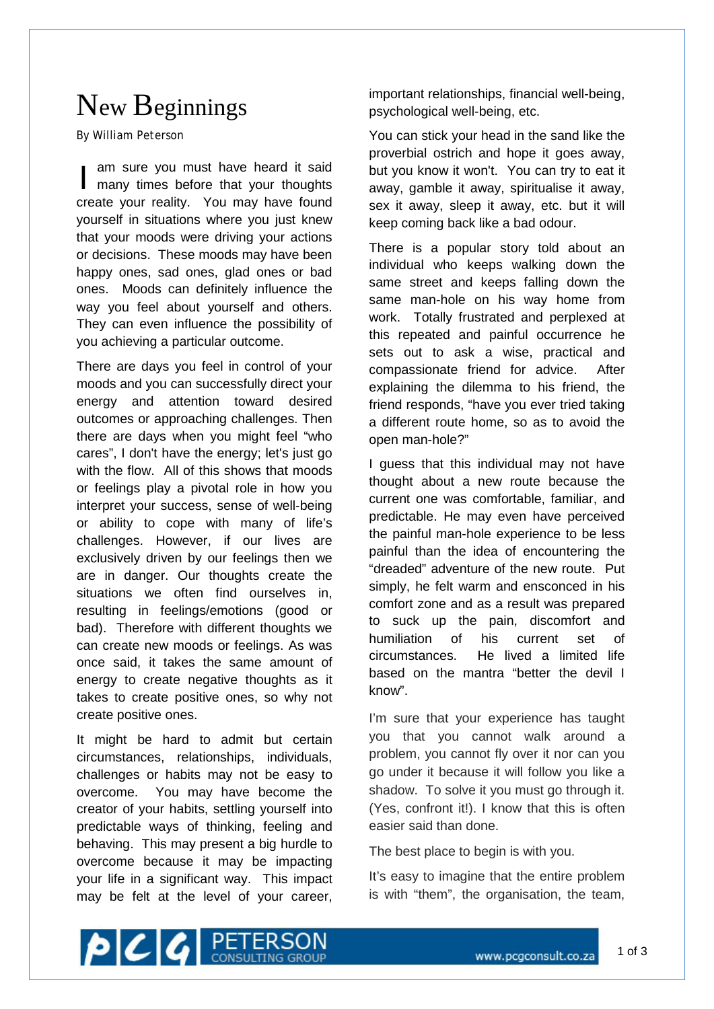## New Beginnings

By William Peterson

I yourself in situations where you just knew<br>that vour moods were driving vour actions am sure you must have heard it said many times before that your thoughts create your reality. You may have found that your moods were driving your actions or decisions. These moods may have been happy ones, sad ones, glad ones or bad ones. Moods can definitely influence the way you feel about yourself and others. They can even influence the possibility of you achieving a particular outcome.

There are days you feel in control of your moods and you can successfully direct your energy and attention toward desired outcomes or approaching challenges. Then there are days when you might feel "who cares", I don't have the energy; let's just go with the flow. All of this shows that moods or feelings play a pivotal role in how you interpret your success, sense of well-being or ability to cope with many of life's challenges. However, if our lives are exclusively driven by our feelings then we are in danger. Our thoughts create the situations we often find ourselves in, resulting in feelings/emotions (good or bad). Therefore with different thoughts we can create new moods or feelings. As was once said, it takes the same amount of energy to create negative thoughts as it takes to create positive ones, so why not create positive ones.

It might be hard to admit but certain circumstances, relationships, individuals, challenges or habits may not be easy to overcome. You may have become the creator of your habits, settling yourself into predictable ways of thinking, feeling and behaving. This may present a big hurdle to overcome because it may be impacting your life in a significant way. This impact may be felt at the level of your career,

important relationships, financial well-being, psychological well-being, etc.

You can stick your head in the sand like the proverbial ostrich and hope it goes away, but you know it won't. You can try to eat it away, gamble it away, spiritualise it away, sex it away, sleep it away, etc. but it will keep coming back like a bad odour.

There is a popular story told about an individual who keeps walking down the same street and keeps falling down the same man-hole on his way home from work. Totally frustrated and perplexed at this repeated and painful occurrence he sets out to ask a wise, practical and compassionate friend for advice. After explaining the dilemma to his friend, the friend responds, "have you ever tried taking a different route home, so as to avoid the open man-hole?"

I guess that this individual may not have thought about a new route because the current one was comfortable, familiar, and predictable. He may even have perceived the painful man-hole experience to be less painful than the idea of encountering the "dreaded" adventure of the new route. Put simply, he felt warm and ensconced in his comfort zone and as a result was prepared to suck up the pain, discomfort and humiliation of his current set of circumstances. He lived a limited life based on the mantra "better the devil I know".

I'm sure that your experience has taught you that you cannot walk around a problem, you cannot fly over it nor can you go under it because it will follow you like a shadow. To solve it you must go through it. (Yes, confront it!). I know that this is often easier said than done.

The best place to begin is with you.

It's easy to imagine that the entire problem is with "them", the organisation, the team,

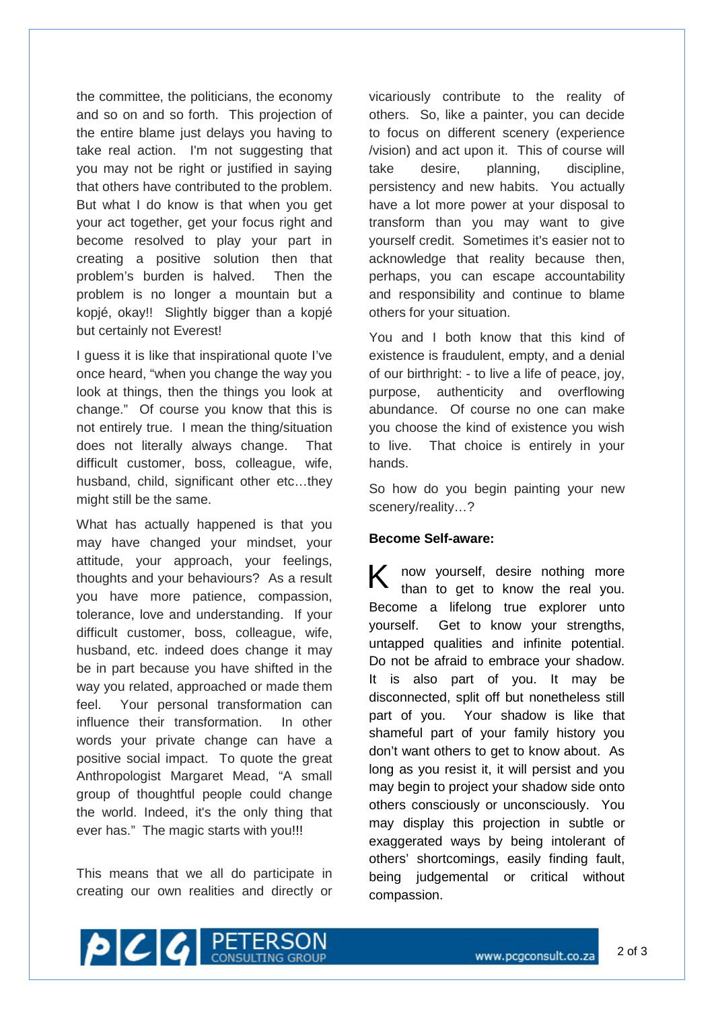the committee, the politicians, the economy and so on and so forth. This projection of the entire blame just delays you having to take real action. I'm not suggesting that you may not be right or justified in saying that others have contributed to the problem. But what I do know is that when you get your act together, get your focus right and become resolved to play your part in creating a positive solution then that problem's burden is halved. Then the problem is no longer a mountain but a kopjé, okay!! Slightly bigger than a kopjé but certainly not Everest!

I guess it is like that inspirational quote I've once heard, "when you change the way you look at things, then the things you look at change." Of course you know that this is not entirely true. I mean the thing/situation does not literally always change. That difficult customer, boss, colleague, wife, husband, child, significant other etc…they might still be the same.

What has actually happened is that you may have changed your mindset, your attitude, your approach, your feelings, thoughts and your behaviours? As a result you have more patience, compassion, tolerance, love and understanding. If your difficult customer, boss, colleague, wife, husband, etc. indeed does change it may be in part because you have shifted in the way you related, approached or made them feel. Your personal transformation can influence their transformation. In other words your private change can have a positive social impact. To quote the great Anthropologist Margaret Mead, "A small group of thoughtful people could change the world. Indeed, it's the only thing that ever has." The magic starts with you!!!

This means that we all do participate in creating our own realities and directly or

vicariously contribute to the reality of others. So, like a painter, you can decide to focus on different scenery (experience /vision) and act upon it. This of course will take desire, planning, discipline, persistency and new habits. You actually have a lot more power at your disposal to transform than you may want to give yourself credit. Sometimes it's easier not to acknowledge that reality because then, perhaps, you can escape accountability and responsibility and continue to blame others for your situation.

You and I both know that this kind of existence is fraudulent, empty, and a denial of our birthright: - to live a life of peace, joy, purpose, authenticity and overflowing abundance. Of course no one can make you choose the kind of existence you wish to live. That choice is entirely in your hands.

So how do you begin painting your new scenery/reality…?

## **Become Self-aware:**

K now yourself, desire nothing more than to get to know the real you. Become a lifelong true explorer unto yourself. Get to know your strengths, untapped qualities and infinite potential. Do not be afraid to embrace your shadow. It is also part of you. It may be disconnected, split off but nonetheless still part of you. Your shadow is like that shameful part of your family history you don't want others to get to know about. As long as you resist it, it will persist and you may begin to project your shadow side onto others consciously or unconsciously. You may display this projection in subtle or exaggerated ways by being intolerant of others' shortcomings, easily finding fault, being judgemental or critical without compassion.